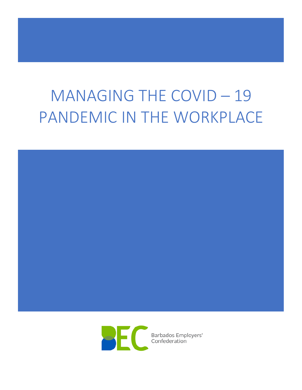# MANAGING THE COVID – 19 PANDEMIC IN THE WORKPLACE



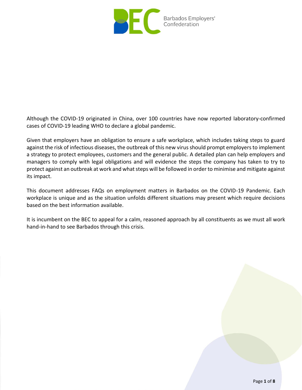

Although the COVID-19 originated in China, over 100 countries have now reported laboratory-confirmed cases of COVID-19 leading WHO to declare a global pandemic.

Given that employers have an obligation to ensure a safe workplace, which includes taking steps to guard against the risk of infectious diseases, the outbreak of this new virus should prompt employers to implement a strategy to protect employees, customers and the general public. A detailed plan can help employers and managers to comply with legal obligations and will evidence the steps the company has taken to try to protect against an outbreak at work and what steps will be followed in order to minimise and mitigate against its impact.

This document addresses FAQs on employment matters in Barbados on the COVID-19 Pandemic. Each workplace is unique and as the situation unfolds different situations may present which require decisions based on the best information available.

It is incumbent on the BEC to appeal for a calm, reasoned approach by all constituents as we must all work hand-in-hand to see Barbados through this crisis.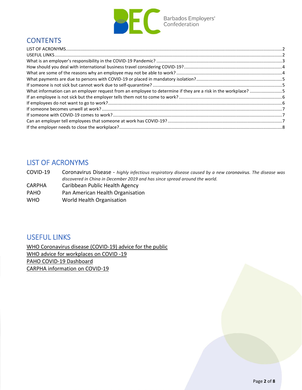

## **CONTENTS**

| What information can an employer request from an employee to determine if they are a risk in the workplace? 5 |  |
|---------------------------------------------------------------------------------------------------------------|--|
|                                                                                                               |  |
|                                                                                                               |  |
|                                                                                                               |  |
|                                                                                                               |  |
|                                                                                                               |  |
|                                                                                                               |  |
|                                                                                                               |  |

#### <span id="page-2-0"></span>LIST OF ACRONYMS

COVID-19 Coronavirus Disease - *highly infectious respiratory disease caused by a new coronavirus. The disease was discovered in China in December 2019 and has since spread around the world.*

- CARPHA Caribbean Public Health Agency
- PAHO Pan American Health Organisation
- WHO World Health Organisation

#### <span id="page-2-1"></span>USEFUL LINKS

[WHO Coronavirus disease \(COVID-19\) advice for the public](https://www.who.int/emergencies/diseases/novel-coronavirus-2019/advice-for-public) [WHO advice for workplaces on COVID -19](https://www.who.int/docs/default-source/coronaviruse/getting-workplace-ready-for-covid-19.pdf?sfvrsn=359a81e7_6) [PAHO COVID-19 Dashboard](https://www.paho.org/en/topics/coronavirus-infections/coronavirus-disease-covid-19#infographics) [CARPHA information on COVID-19](http://carpha.org/What-We-Do/Public-Health/Novel-Coronavirus)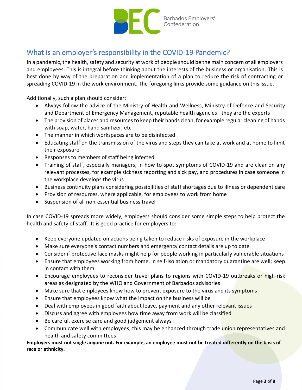

## <span id="page-3-0"></span>What is an employer's responsibility in the COVID-19 Pandemic?

In a pandemic, the health, safety and security at work of people should be the main concern of all employers and employees. This is integral before thinking about the interests of the business or organisation. This is best done by way of the preparation and implementation of a plan to reduce the risk of contracting or spreading COVID-19 in the work environment. The foregoing links provide some guidance on this issue.

Additionally, such a plan should consider:

- Always follow the advice of the Ministry of Health and Wellness, Ministry of Defence and Security and Department of Emergency Management, reputable health agencies –they are the experts
- The provision of places and resources to keep their hands clean, for example regular cleaning of hands with soap, water, hand sanitizer, etc
- The manner in which workspaces are to be disinfected
- Educating staff on the transmission of the virus and steps they can take at work and at home to limit their exposure
- Responses to members of staff being infected
- Training of staff, especially managers, in how to spot symptoms of COVID-19 and are clear on any relevant processes, for example sickness reporting and sick pay, and procedures in case someone in the workplace develops the virus
- Business continuity plans considering possibilities of staff shortages due to illness or dependent care
- Provision of resources, where applicable, for employees to work from home
- Suspension of all non-essential business travel

In case COVID-19 spreads more widely, employers should consider some simple steps to help protect the health and safety of staff. It is good practice for employers to:

- Keep everyone updated on actions being taken to reduce risks of exposure in the workplace
- Make sure everyone's contact numbers and emergency contact details are up to date
- Consider if protective face masks might help for people working in particularly vulnerable situations
- Ensure that employees working from home, in self-isolation or mandatory quarantine are well; keep in contact with them
- Encourage employees to reconsider travel plans to regions with COVID-19 outbreaks or high-risk areas as designated by the WHO and Government of Barbados advisories
- Make sure that employees know how to prevent exposure to the virus and its symptoms
- Ensure that employees know what the impact on the business will be
- Deal with employees in good faith about leave, payment and any other relevant issues
- Discuss and agree with employees how time away from work will be classified
- Be careful, exercise care and good judgement always
- Communicate well with employees; this may be enhanced through trade union representatives and health and safety committees

**Employers must not single anyone out. For example, an employee must not be treated differently on the basis of race or ethnicity.**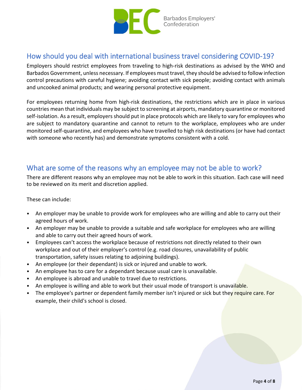

#### <span id="page-4-0"></span>How should you deal with international business travel considering COVID-19?

Employers should restrict employees from traveling to high-risk destinations as advised by the WHO and Barbados Government, unless necessary. If employees must travel, they should be advised to follow infection control precautions with careful hygiene; avoiding contact with sick people; avoiding contact with animals and uncooked animal products; and wearing personal protective equipment.

For employees returning home from high-risk destinations, the restrictions which are in place in various countries mean that individuals may be subject to screening at airports, mandatory quarantine or monitored self-isolation. As a result, employers should put in place protocols which are likely to vary for employees who are subject to mandatory quarantine and cannot to return to the workplace, employees who are under monitored self-quarantine, and employees who have travelled to high risk destinations (or have had contact with someone who recently has) and demonstrate symptoms consistent with a cold.

#### <span id="page-4-1"></span>What are some of the reasons why an employee may not be able to work?

There are different reasons why an employee may not be able to work in this situation. Each case will need to be reviewed on its merit and discretion applied.

These can include:

- An employer may be unable to provide work for employees who are willing and able to carry out their agreed hours of work.
- An employer may be unable to provide a suitable and safe workplace for employees who are willing and able to carry out their agreed hours of work.
- Employees can't access the workplace because of restrictions not directly related to their own workplace and out of their employer's control (e.g. road closures, unavailability of public transportation, safety issues relating to adjoining buildings).
- An employee (or their dependant) is sick or injured and unable to work.
- An employee has to care for a dependant because usual care is unavailable.
- An employee is abroad and unable to travel due to restrictions.
- An employee is willing and able to work but their usual mode of transport is unavailable.
- The employee's partner or dependent family member isn't injured or sick but they require care. For example, their child's school is closed.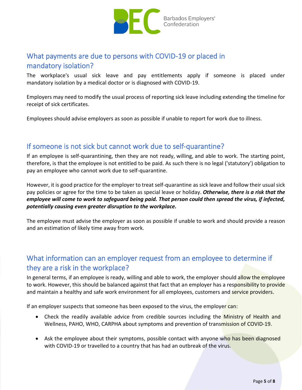

## <span id="page-5-0"></span>What payments are due to persons with COVID-19 or placed in mandatory isolation?

The workplace's usual sick leave and pay entitlements apply if someone is placed under mandatory isolation by a medical doctor or is diagnosed with COVID-19.

Employers may need to modify the usual process of reporting sick leave including extending the timeline for receipt of sick certificates.

Employees should advise employers as soon as possible if unable to report for work due to illness.

#### <span id="page-5-1"></span>If someone is not sick but cannot work due to self-quarantine?

If an employee is self-quarantining, then they are not ready, willing, and able to work. The starting point, therefore, is that the employee is not entitled to be paid. As such there is no legal ('statutory') obligation to pay an employee who cannot work due to self-quarantine.

However, it is good practice for the employer to treat self-quarantine as sick leave and follow their usual sick pay policies or agree for the time to be taken as special leave or holiday. *Otherwise, there is a risk that the employee will come to work to safeguard being paid. That person could then spread the virus, if infected, potentially causing even greater disruption to the workplace.*

The employee must advise the employer as soon as possible if unable to work and should provide a reason and an estimation of likely time away from work.

# <span id="page-5-2"></span>What information can an employer request from an employee to determine if they are a risk in the workplace?

In general terms, if an employee is ready, willing and able to work, the employer should allow the employee to work. However, this should be balanced against that fact that an employer has a responsibility to provide and maintain a healthy and safe work environment for all employees, customers and service providers.

If an employer suspects that someone has been exposed to the virus, the employer can:

- Check the readily available advice from credible sources including the Ministry of Health and Wellness, PAHO, WHO, CARPHA about symptoms and prevention of transmission of COVID-19.
- Ask the employee about their symptoms, possible contact with anyone who has been diagnosed with COVID-19 or travelled to a country that has had an outbreak of the virus.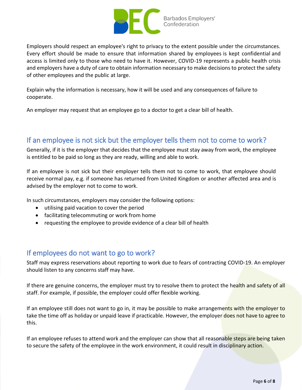

Employers should respect an employee's right to privacy to the extent possible under the circumstances. Every effort should be made to ensure that information shared by employees is kept confidential and access is limited only to those who need to have it. However, COVID-19 represents a public health crisis and employers have a duty of care to obtain information necessary to make decisions to protect the safety of other employees and the public at large.

Explain why the information is necessary, how it will be used and any consequences of failure to cooperate.

An employer may request that an employee go to a doctor to get a clear bill of health.

#### <span id="page-6-0"></span>If an employee is not sick but the employer tells them not to come to work?

Generally, if it is the employer that decides that the employee must stay away from work, the employee is entitled to be paid so long as they are ready, willing and able to work.

If an employee is not sick but their employer tells them not to come to work, that employee should receive normal pay, e.g. if someone has returned from United Kingdom or another affected area and is advised by the employer not to come to work.

In such circumstances, employers may consider the following options:

- utilising paid vacation to cover the period
- facilitating telecommuting or work from home
- requesting the employee to provide evidence of a clear bill of health

#### <span id="page-6-1"></span>If employees do not want to go to work?

Staff may express reservations about reporting to work due to fears of contracting COVID-19. An employer should listen to any concerns staff may have.

If there are genuine concerns, the employer must try to resolve them to protect the health and safety of all staff. For example, if possible, the employer could offer flexible working.

If an employee still does not want to go in, it may be possible to make arrangements with the employer to take the time off as holiday or unpaid leave if practicable. However, the employer does not have to agree to this.

If an employee refuses to attend work and the employer can show that all reasonable steps are being taken to secure the safety of the employee in the work environment, it could result in disciplinary action.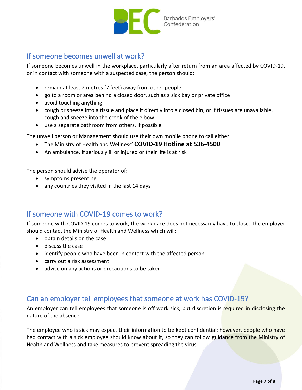

## <span id="page-7-0"></span>If someone becomes unwell at work?

If someone becomes unwell in the workplace, particularly after return from an area affected by COVID-19, or in contact with someone with a suspected case, the person should:

- remain at least 2 metres (7 feet) away from other people
- go to a room or area behind a closed door, such as a sick bay or private office
- avoid touching anything
- cough or sneeze into a tissue and place it directly into a closed bin, or if tissues are unavailable, cough and sneeze into the crook of the elbow
- use a separate bathroom from others, if possible

The unwell person or Management should use their own mobile phone to call either:

- The Ministry of Health and Wellness' **COVID-19 Hotline at 536-4500**
- An ambulance, if seriously ill or injured or their life is at risk

The person should advise the operator of:

- symptoms presenting
- any countries they visited in the last 14 days

#### <span id="page-7-1"></span>If someone with COVID-19 comes to work?

If someone with COVID-19 comes to work, the workplace does not necessarily have to close. The employer should contact the Ministry of Health and Wellness which will:

- obtain details on the case
- discuss the case
- identify people who have been in contact with the affected person
- carry out a risk assessment
- advise on any actions or precautions to be taken

#### <span id="page-7-2"></span>Can an employer tell employees that someone at work has COVID-19?

An employer can tell employees that someone is off work sick, but discretion is required in disclosing the nature of the absence.

The employee who is sick may expect their information to be kept confidential; however, people who have had contact with a sick employee should know about it, so they can follow [guidance from](https://www.health.govt.nz/our-work/diseases-and-conditions/novel-coronavirus-covid-19/novel-coronavirus-2019-ncov-questions-and-answers) the Ministry of [Health a](https://www.health.govt.nz/our-work/diseases-and-conditions/novel-coronavirus-covid-19/novel-coronavirus-2019-ncov-questions-and-answers)nd Wellness and take measures to [prevent spreading the v](https://www.health.govt.nz/our-work/diseases-and-conditions/novel-coronavirus-2019-ncov/novel-coronavirus-2019-ncov-questions-and-answers)irus.